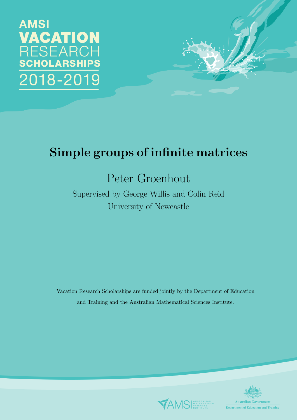



# Simple groups of infinite matrices

# Peter Groenhout

Supervised by George Willis and Colin Reid University of Newcastle

Vacation Research Scholarships are funded jointly by the Department of Education and Training and the Australian Mathematical Sciences Institute.



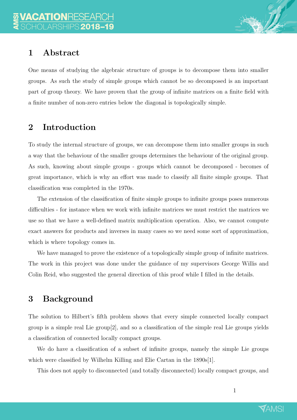

## 1 Abstract

One means of studying the algebraic structure of groups is to decompose them into smaller groups. As such the study of simple groups which cannot be so decomposed is an important part of group theory. We have proven that the group of infinite matrices on a finite field with a finite number of non-zero entries below the diagonal is topologically simple.

## 2 Introduction

To study the internal structure of groups, we can decompose them into smaller groups in such a way that the behaviour of the smaller groups determines the behaviour of the original group. As such, knowing about simple groups - groups which cannot be decomposed - becomes of great importance, which is why an effort was made to classify all finite simple groups. That classification was completed in the 1970s.

The extension of the classification of finite simple groups to infinite groups poses numerous difficulties - for instance when we work with infinite matrices we must restrict the matrices we use so that we have a well-defined matrix multiplication operation. Also, we cannot compute exact answers for products and inverses in many cases so we need some sort of approximation, which is where topology comes in.

We have managed to prove the existence of a topologically simple group of infinite matrices. The work in this project was done under the guidance of my supervisors George Willis and Colin Reid, who suggested the general direction of this proof while I filled in the details.

# 3 Background

The solution to Hilbert's fifth problem shows that every simple connected locally compact group is a simple real Lie group $[2]$ , and so a classification of the simple real Lie groups yields a classification of connected locally compact groups.

We do have a classification of a subset of infinite groups, namely the simple Lie groups which were classified by Wilhelm Killing and Elie Cartan in the 1890s[1].

This does not apply to disconnected (and totally disconnected) locally compact groups, and

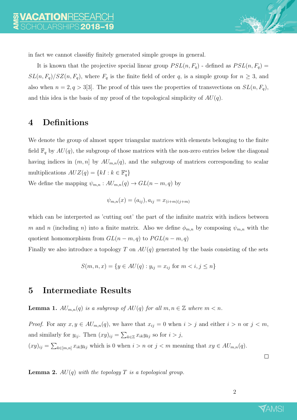

in fact we cannot classifiy finitely generated simple groups in general.

It is known that the projective special linear group  $PSL(n, F_q)$  - defined as  $PSL(n, F_q)$  =  $SL(n, F_q)/SZ(n, F_q)$ , where  $F_q$  is the finite field of order q, is a simple group for  $n \geq 3$ , and also when  $n = 2, q > 3[3]$ . The proof of this uses the properties of transvections on  $SL(n, F_q)$ , and this idea is the basis of my proof of the topological simplicity of  $AU(q)$ .

### 4 Definitions

We denote the group of almost upper triangular matrices with elements belonging to the finite field  $\mathbb{F}_q$  by  $AU(q)$ , the subgroup of those matrices with the non-zero entries below the diagonal having indices in  $(m, n]$  by  $AU_{m,n}(q)$ , and the subgroup of matrices corresponding to scalar multiplications  $AUZ(q) = \{kI : k \in \mathbb{F}_q^*\}$ 

We define the mapping  $\psi_{m,n} : AU_{m,n}(q) \to GL(n-m, q)$  by

$$
\psi_{m,n}(x) = (a_{ij}), a_{ij} = x_{(i+m)(j+m)}
$$

which can be interpreted as 'cutting out' the part of the infinite matrix with indices between m and n (including n) into a finite matrix. Also we define  $\phi_{m,n}$  by composing  $\psi_{m,n}$  with the quotient homomorphism from  $GL(n-m, q)$  to  $PGL(n-m, q)$ 

Finally we also introduce a topology T on  $AU(q)$  generated by the basis consisting of the sets

$$
S(m, n, x) = \{ y \in AU(q) : y_{ij} = x_{ij} \text{ for } m < i, j \le n \}
$$

### 5 Intermediate Results

**Lemma 1.**  $AU_{m,n}(q)$  is a subgroup of  $AU(q)$  for all  $m, n \in \mathbb{Z}$  where  $m < n$ .

*Proof.* For any  $x, y \in AU_{m,n}(q)$ , we have that  $x_{ij} = 0$  when  $i > j$  and either  $i > n$  or  $j < m$ , and similarly for  $y_{ij}$ . Then  $(xy)_{ij} = \sum_{k \in \mathbb{Z}} x_{ik} y_{kj}$  so for  $i > j$ ,  $(xy)_{ij} = \sum_{k \in [m,n]} x_{ik}y_{kj}$  which is 0 when  $i > n$  or  $j < m$  meaning that  $xy \in AU_{m,n}(q)$ .

 $\Box$ 

**Lemma 2.**  $AU(q)$  with the topology T is a topological group.

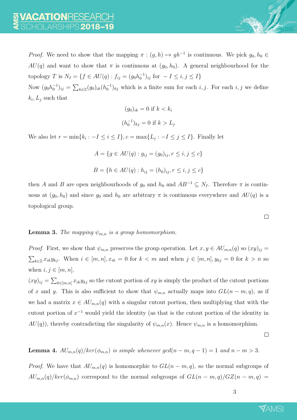*Proof.* We need to show that the mapping  $\pi$  :  $(g, h) \mapsto gh^{-1}$  is continuous. We pick  $g_0, h_0 \in$  $AU(q)$  and want to show that  $\pi$  is continuous at  $(g_0, h_0)$ . A general neighbourhood for the topology T is  $N_I = \{ f \in AU(q) : f_{ij} = (g_0 h_0^{-1})_{ij} \text{ for } -I \le i, j \le I \}$ 

Now  $(g_0h_0^{-1})_{ij} = \sum_{k \in \mathbb{Z}} (g_0)_{ik}(h_0^{-1})_{kj}$  which is a finite sum for each  $i, j$ . For each  $i, j$  we define  $k_i, L_j$  such that

$$
(g_0)_{ik} = 0 \text{ if } k < k_i
$$
\n
$$
(h_0^{-1})_{kj} = 0 \text{ if } k > L_j
$$

We also let  $r = \min\{k_i : -I \leq i \leq I\}$ ,  $c = \max\{L_j : -I \leq j \leq I\}$ . Finally let

$$
A = \{ g \in AU(q) : g_{ij} = (g_0)_{ij}, r \le i, j \le c \}
$$
  

$$
B = \{ h \in AU(q) : h_{ij} = (h_0)_{ij}, r \le i, j \le c \}
$$

then A and B are open neighbourhoods of  $g_0$  and  $h_0$  and  $AB^{-1} \subseteq N_I$ . Therefore  $\pi$  is continuous at  $(g_0, h_0)$  and since  $g_0$  and  $h_0$  are arbitrary  $\pi$  is continuous everywhere and  $AU(q)$  is a topological group.

#### $\Box$

#### **Lemma 3.** The mapping  $\psi_{m,n}$  is a group homomorphism.

*Proof.* First, we show that  $\psi_{m,n}$  preserves the group operation. Let  $x, y \in AU_{m,n}(q)$  so  $(xy)_{ij} =$  $\sum_{k\in\mathbb{Z}} x_{ik}y_{kj}$ . When  $i\in[m,n], x_{ik}=0$  for  $k < m$  and when  $j\in[m,n], y_{kj}=0$  for  $k > n$  so when  $i, j \in [m, n]$ ,

 $(xy)_{ij} = \sum_{k \in [m,n]} x_{ik}y_{kj}$  so the cutout portion of xy is simply the product of the cutout portions of x and y. This is also sufficient to show that  $\psi_{m,n}$  actually maps into  $GL(n-m, q)$ , as if we had a matrix  $x \in AU_{m,n}(q)$  with a singular cutout portion, then multiplying that with the cutout portion of  $x^{-1}$  would yield the identity (as that is the cutout portion of the identity in  $AU(q)$ , thereby contradicting the singularity of  $\psi_{m,n}(x)$ . Hence  $\psi_{m,n}$  is a homomorphism.

 $\Box$ 

**Lemma 4.**  $AU_{m,n}(q)/ker(\phi_{m,n})$  is simple whenever  $gcd(n-m, q-1) = 1$  and  $n-m > 3$ .

*Proof.* We have that  $AU_{m,n}(q)$  is homomorphic to  $GL(n-m, q)$ , so the normal subgroups of  $AU_{m,n}(q)/ker(\phi_{m,n})$  correspond to the normal subgroups of  $GL(n-m,q)/GZ(n-m,q)$ 

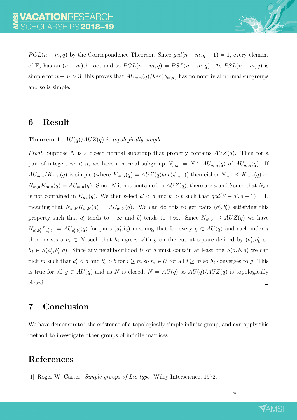$PGL(n-m,q)$  by the Correspondence Theorem. Since  $gcd(n-m,q-1)=1$ , every element of  $\mathbb{F}_q$  has an  $(n - m)$ th root and so  $PGL(n - m, q) = PSL(n - m, q)$ . As  $PSL(n - m, q)$  is simple for  $n - m > 3$ , this proves that  $AU_{m,n}(q)/ker(\phi_{m,n})$  has no nontrivial normal subgroups and so is simple.

 $\Box$ 

### 6 Result

#### **Theorem 1.**  $AU(q)/AUZ(q)$  is topologically simple.

*Proof.* Suppose N is a closed normal subgroup that properly contains  $AUZ(q)$ . Then for a pair of integers  $m < n$ , we have a normal subgroup  $N_{m,n} = N \cap AU_{m,n}(q)$  of  $AU_{m,n}(q)$ . If  $AU_{m,n}/K_{m,n}(q)$  is simple (where  $K_{m,n}(q) = AUZ(q)ker(\psi_{m,n})$ ) then either  $N_{m,n} \leq K_{m,n}(q)$  or  $N_{m,n}K_{m,n}(q) = AU_{m,n}(q)$ . Since N is not contained in  $AUZ(q)$ , there are a and b such that  $N_{a,b}$ is not contained in  $K_{a,b}(q)$ . We then select  $a' < a$  and  $b' > b$  such that  $gcd(b' - a', q - 1) = 1$ , meaning that  $N_{a',b'}K_{a',b'}(q) = AU_{a',b'}(q)$ . We can do this to get pairs  $(a'_i, b'_i)$  satisfying this property such that  $a'_i$  tends to  $-\infty$  and  $b'_i$  tends to  $+\infty$ . Since  $N_{a',b'} \supseteq AUZ(q)$  we have  $N_{a'_i,b'_i}L_{a'_i,b'_i} = AU_{a'_i,b'_i}(q)$  for pairs  $(a'_i,b'_i)$  meaning that for every  $g \in AU(q)$  and each index i there exists a  $h_i \in N$  such that  $h_i$  agrees with g on the cutout square defined by  $(a'_i, b'_i]$  so  $h_i \in S(a'_i, b'_i, g)$ . Since any neighbourhood U of g must contain at least one  $S(a, b, g)$  we can pick m such that  $a'_i < a$  and  $b'_i > b$  for  $i \geq m$  so  $h_i \in U$  for all  $i \geq m$  so  $h_i$  converges to g. This is true for all  $g \in AU(q)$  and as N is closed,  $N = AU(q)$  so  $AU(q)/AUZ(q)$  is topologically closed.  $\Box$ 

### 7 Conclusion

We have demonstrated the existence of a topologically simple infinite group, and can apply this method to investigate other groups of infinite matrices.

### References

[1] Roger W. Carter. Simple groups of Lie type. Wiley-Interscience, 1972.